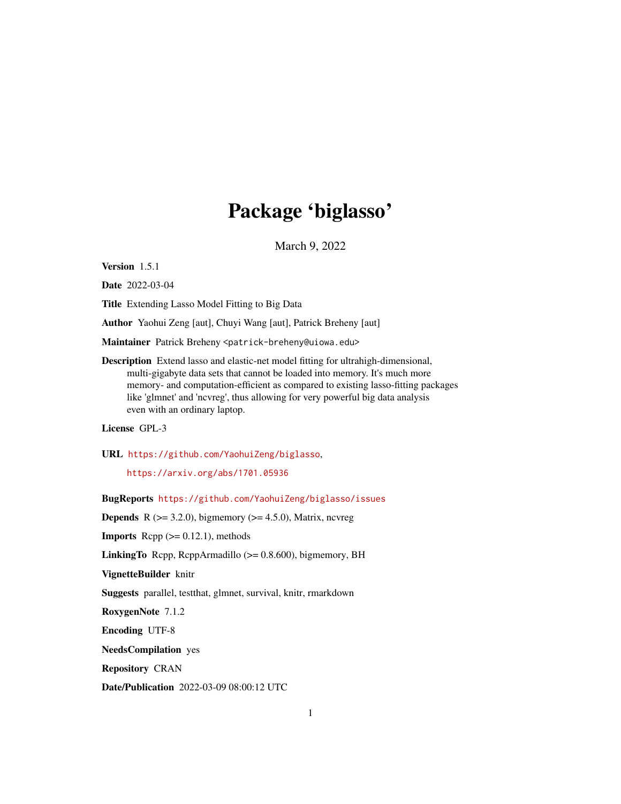## Package 'biglasso'

March 9, 2022

<span id="page-0-0"></span>Version 1.5.1

Date 2022-03-04

Title Extending Lasso Model Fitting to Big Data

Author Yaohui Zeng [aut], Chuyi Wang [aut], Patrick Breheny [aut]

Maintainer Patrick Breheny <patrick-breheny@uiowa.edu>

Description Extend lasso and elastic-net model fitting for ultrahigh-dimensional, multi-gigabyte data sets that cannot be loaded into memory. It's much more memory- and computation-efficient as compared to existing lasso-fitting packages like 'glmnet' and 'ncvreg', thus allowing for very powerful big data analysis even with an ordinary laptop.

License GPL-3

URL <https://github.com/YaohuiZeng/biglasso>,

<https://arxiv.org/abs/1701.05936>

BugReports <https://github.com/YaohuiZeng/biglasso/issues>

**Depends** R  $(>= 3.2.0)$ , bigmemory  $(>= 4.5.0)$ , Matrix, ncvreg

**Imports** Rcpp  $(>= 0.12.1)$ , methods

**LinkingTo** Rcpp, RcppArmadillo  $(>= 0.8.600)$ , bigmemory, BH

VignetteBuilder knitr

Suggests parallel, testthat, glmnet, survival, knitr, rmarkdown

RoxygenNote 7.1.2

Encoding UTF-8

NeedsCompilation yes

Repository CRAN

Date/Publication 2022-03-09 08:00:12 UTC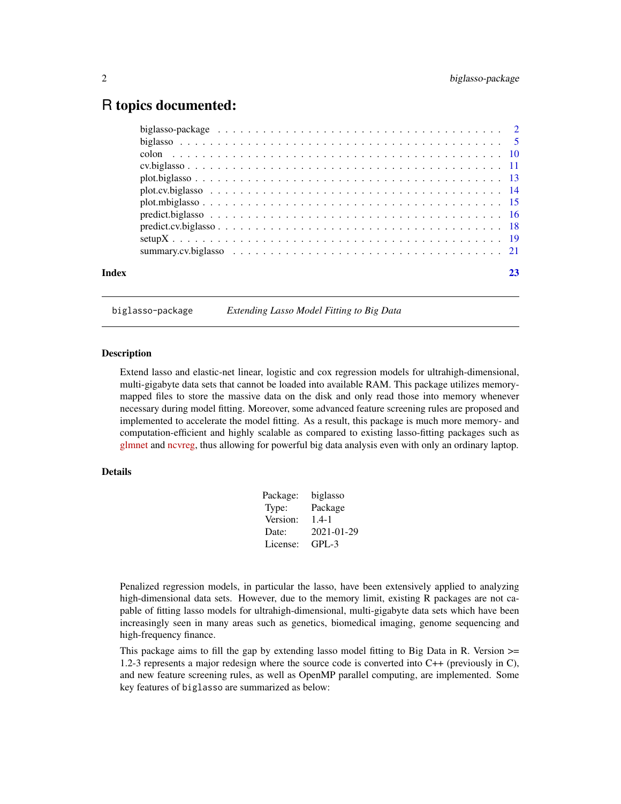## <span id="page-1-0"></span>R topics documented:

| Index |  |
|-------|--|
|       |  |

<span id="page-1-1"></span>biglasso-package *Extending Lasso Model Fitting to Big Data*

#### **Description**

Extend lasso and elastic-net linear, logistic and cox regression models for ultrahigh-dimensional, multi-gigabyte data sets that cannot be loaded into available RAM. This package utilizes memorymapped files to store the massive data on the disk and only read those into memory whenever necessary during model fitting. Moreover, some advanced feature screening rules are proposed and implemented to accelerate the model fitting. As a result, this package is much more memory- and computation-efficient and highly scalable as compared to existing lasso-fitting packages such as [glmnet](https://CRAN.R-project.org/package=glmnet) and [ncvreg,](https://CRAN.R-project.org/package=ncvreg) thus allowing for powerful big data analysis even with only an ordinary laptop.

#### Details

| Package: | biglasso   |
|----------|------------|
| Type:    | Package    |
| Version: | $1.4 - 1$  |
| Date:    | 2021-01-29 |
| License: | $GPL-3$    |

Penalized regression models, in particular the lasso, have been extensively applied to analyzing high-dimensional data sets. However, due to the memory limit, existing R packages are not capable of fitting lasso models for ultrahigh-dimensional, multi-gigabyte data sets which have been increasingly seen in many areas such as genetics, biomedical imaging, genome sequencing and high-frequency finance.

This package aims to fill the gap by extending lasso model fitting to Big Data in R. Version  $\geq$ 1.2-3 represents a major redesign where the source code is converted into C++ (previously in C), and new feature screening rules, as well as OpenMP parallel computing, are implemented. Some key features of biglasso are summarized as below: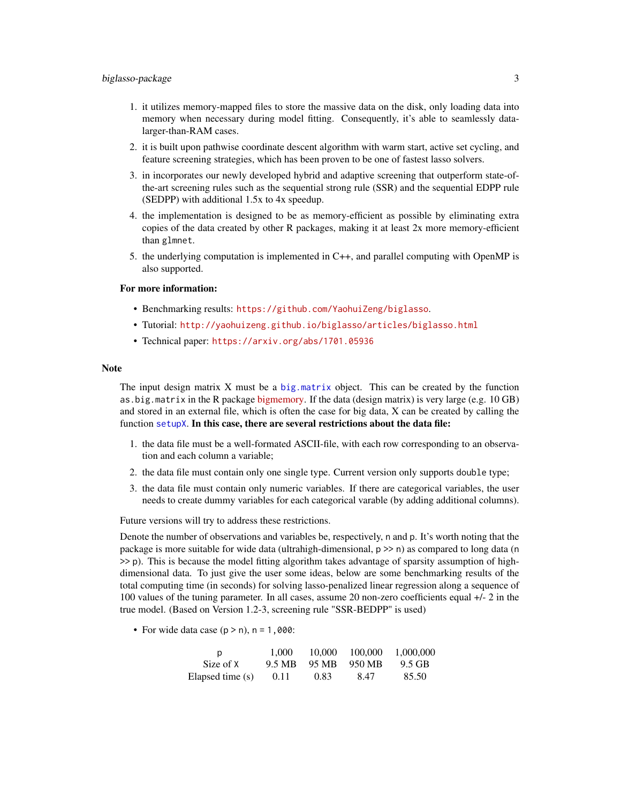- <span id="page-2-0"></span>1. it utilizes memory-mapped files to store the massive data on the disk, only loading data into memory when necessary during model fitting. Consequently, it's able to seamlessly datalarger-than-RAM cases.
- 2. it is built upon pathwise coordinate descent algorithm with warm start, active set cycling, and feature screening strategies, which has been proven to be one of fastest lasso solvers.
- 3. in incorporates our newly developed hybrid and adaptive screening that outperform state-ofthe-art screening rules such as the sequential strong rule (SSR) and the sequential EDPP rule (SEDPP) with additional 1.5x to 4x speedup.
- 4. the implementation is designed to be as memory-efficient as possible by eliminating extra copies of the data created by other R packages, making it at least 2x more memory-efficient than glmnet.
- 5. the underlying computation is implemented in C++, and parallel computing with OpenMP is also supported.

#### For more information:

- Benchmarking results: <https://github.com/YaohuiZeng/biglasso>.
- Tutorial: <http://yaohuizeng.github.io/biglasso/articles/biglasso.html>
- Technical paper: <https://arxiv.org/abs/1701.05936>

#### Note

The input design matrix  $X$  must be a [big.matrix](#page-0-0) object. This can be created by the function as.big.matrix in the R package [bigmemory.](https://CRAN.R-project.org//package=bigmemory) If the data (design matrix) is very large (e.g. 10 GB) and stored in an external file, which is often the case for big data, X can be created by calling the function [setupX](#page-18-1). In this case, there are several restrictions about the data file:

- 1. the data file must be a well-formated ASCII-file, with each row corresponding to an observation and each column a variable;
- 2. the data file must contain only one single type. Current version only supports double type;
- 3. the data file must contain only numeric variables. If there are categorical variables, the user needs to create dummy variables for each categorical varable (by adding additional columns).

Future versions will try to address these restrictions.

Denote the number of observations and variables be, respectively, n and p. It's worth noting that the package is more suitable for wide data (ultrahigh-dimensional, p >> n) as compared to long data (n >> p). This is because the model fitting algorithm takes advantage of sparsity assumption of highdimensional data. To just give the user some ideas, below are some benchmarking results of the total computing time (in seconds) for solving lasso-penalized linear regression along a sequence of 100 values of the tuning parameter. In all cases, assume 20 non-zero coefficients equal +/- 2 in the true model. (Based on Version 1.2-3, screening rule "SSR-BEDPP" is used)

• For wide data case  $(p > n)$ ,  $n = 1,000$ :

| D                | 1,000  | 10,000 | 100,000 | 1,000,000 |
|------------------|--------|--------|---------|-----------|
| Size of X        | 9.5 MB | 95 MB  | 950 MB  | 9.5 GB    |
| Elapsed time (s) | 0.11   | 0.83   | 8.47    | 85.50     |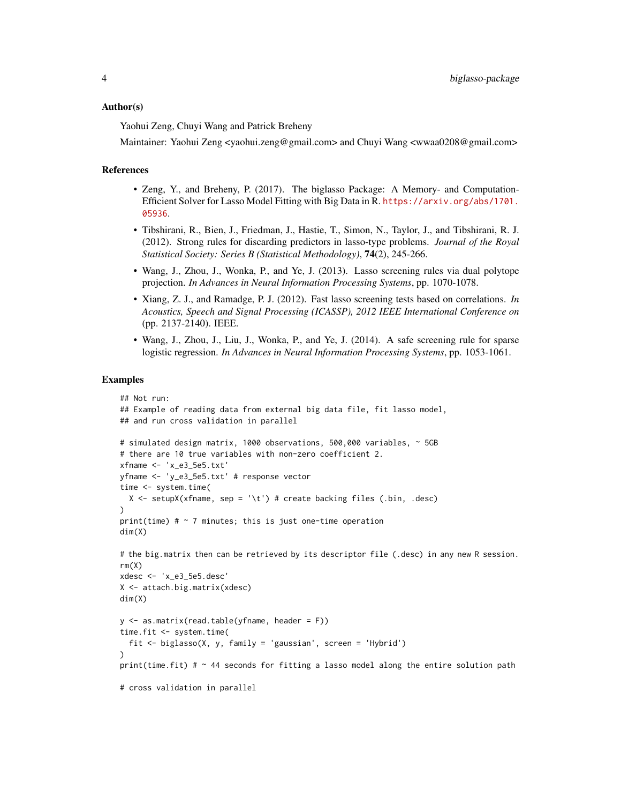#### Author(s)

Yaohui Zeng, Chuyi Wang and Patrick Breheny

Maintainer: Yaohui Zeng <yaohui.zeng@gmail.com> and Chuyi Wang <wwaa0208@gmail.com>

#### References

- Zeng, Y., and Breheny, P. (2017). The biglasso Package: A Memory- and Computation-Efficient Solver for Lasso Model Fitting with Big Data in R. [https://arxiv.org/abs/1701.](https://arxiv.org/abs/1701.05936) [05936](https://arxiv.org/abs/1701.05936).
- Tibshirani, R., Bien, J., Friedman, J., Hastie, T., Simon, N., Taylor, J., and Tibshirani, R. J. (2012). Strong rules for discarding predictors in lasso-type problems. *Journal of the Royal Statistical Society: Series B (Statistical Methodology)*, 74(2), 245-266.
- Wang, J., Zhou, J., Wonka, P., and Ye, J. (2013). Lasso screening rules via dual polytope projection. *In Advances in Neural Information Processing Systems*, pp. 1070-1078.
- Xiang, Z. J., and Ramadge, P. J. (2012). Fast lasso screening tests based on correlations. *In Acoustics, Speech and Signal Processing (ICASSP), 2012 IEEE International Conference on* (pp. 2137-2140). IEEE.
- Wang, J., Zhou, J., Liu, J., Wonka, P., and Ye, J. (2014). A safe screening rule for sparse logistic regression. *In Advances in Neural Information Processing Systems*, pp. 1053-1061.

#### Examples

```
## Not run:
## Example of reading data from external big data file, fit lasso model,
## and run cross validation in parallel
# simulated design matrix, 1000 observations, 500,000 variables, ~ 5GB
# there are 10 true variables with non-zero coefficient 2.
xfname <- 'x_e3_5e5.txt'
yfname <- 'y_e3_5e5.txt' # response vector
time <- system.time(
 X \le setupX(xfname, sep = '\t') # create backing files (.bin, .desc)
)
print(time) # \sim 7 minutes; this is just one-time operation
dim(X)
# the big.matrix then can be retrieved by its descriptor file (.desc) in any new R session.
rm(X)
xdesc <- 'x_e3_5e5.desc'
X <- attach.big.matrix(xdesc)
dim(X)
y <- as.matrix(read.table(yfname, header = F))
time.fit <- system.time(
 fit <- biglasso(X, y, family = 'gaussian', screen = 'Hybrid')
\lambdaprint(time.fit) # \sim 44 seconds for fitting a lasso model along the entire solution path
# cross validation in parallel
```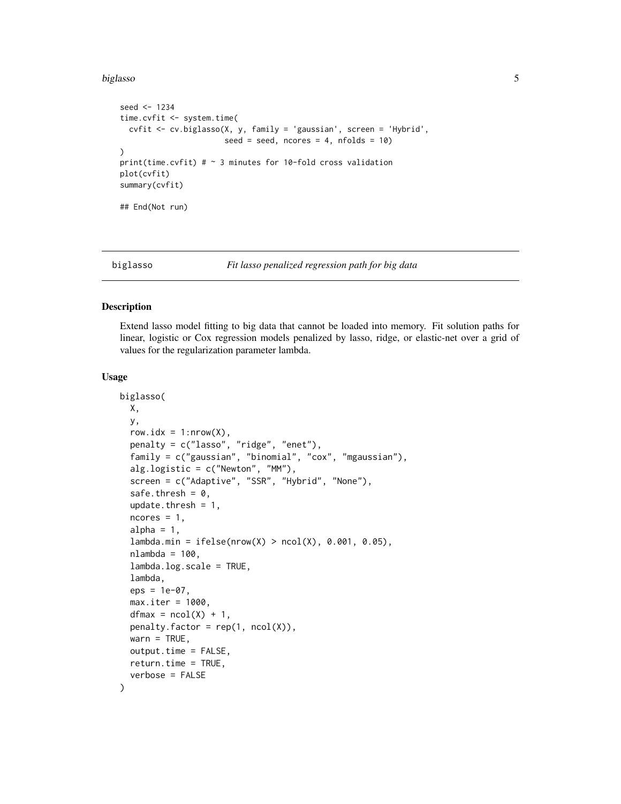#### <span id="page-4-0"></span>biglasso 500 to 100 minutes and 200 minutes and 200 minutes and 200 minutes and 200 minutes and 200 minutes and 200 minutes and 200 minutes and 200 minutes and 200 minutes and 200 minutes and 200 minutes and 200 minutes an

```
seed <- 1234
time.cvfit <- system.time(
  cvfit <- cv.biglasso(X, y, family = 'gaussian', screen = 'Hybrid',
                       seed = seed, ncores = 4, nfolds = 10)
)
print(time.cvfit) # \sim 3 minutes for 10-fold cross validation
plot(cvfit)
summary(cvfit)
## End(Not run)
```
<span id="page-4-1"></span>

#### biglasso *Fit lasso penalized regression path for big data*

#### Description

Extend lasso model fitting to big data that cannot be loaded into memory. Fit solution paths for linear, logistic or Cox regression models penalized by lasso, ridge, or elastic-net over a grid of values for the regularization parameter lambda.

#### Usage

```
biglasso(
 X,
 y,
  row.idx = 1: nrow(X),
 penalty = c("lasso", "ridge", "enet"),
  family = c("gaussian", "binomial", "cox", "mgaussian"),
  alg.logistic = c("Newton", "MM"),
  screen = c("Adaptive", "SSR", "Hybrid", "None"),
  safe.thresh = 0,
  update.thresh = 1,
  ncores = 1,
  alpha = 1,
  lambda.min = ifelse(nrow(X) > ncol(X), 0.001, 0.05),
  nlambda = 100,
  lambda.log.scale = TRUE,
  lambda,
  eps = 1e-07,
 max.iter = 1000,dfmax = ncol(X) + 1,
  penalty.factor = rep(1, ncol(X)),warn = TRUE,output.time = FALSE,
  return.time = TRUE,
  verbose = FALSE
)
```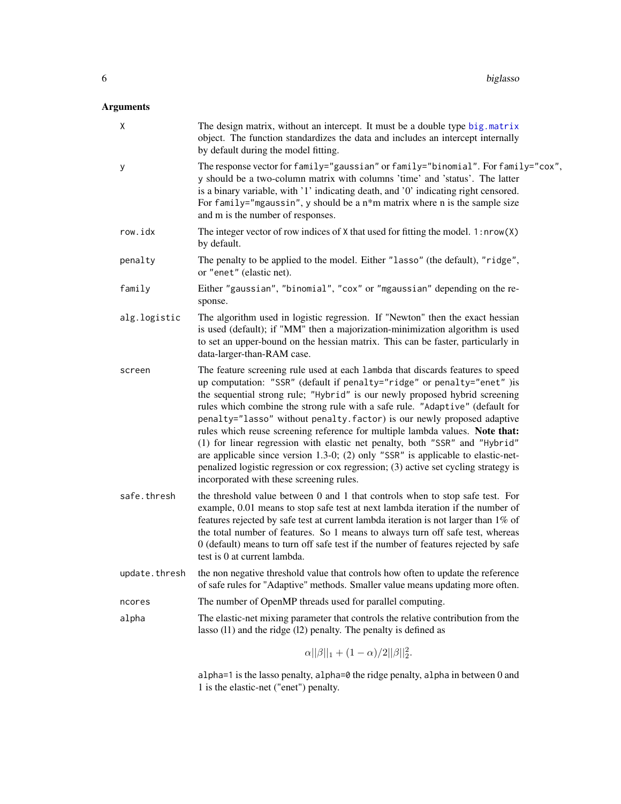## <span id="page-5-0"></span>Arguments

| Χ             | The design matrix, without an intercept. It must be a double type big.matrix<br>object. The function standardizes the data and includes an intercept internally<br>by default during the model fitting.                                                                                                                                                                                                                                                                                                                                                                                                                                                                                                                                                                                     |
|---------------|---------------------------------------------------------------------------------------------------------------------------------------------------------------------------------------------------------------------------------------------------------------------------------------------------------------------------------------------------------------------------------------------------------------------------------------------------------------------------------------------------------------------------------------------------------------------------------------------------------------------------------------------------------------------------------------------------------------------------------------------------------------------------------------------|
| У             | The response vector for family="gaussian" or family="binomial". For family="cox",<br>y should be a two-column matrix with columns 'time' and 'status'. The latter<br>is a binary variable, with '1' indicating death, and '0' indicating right censored.<br>For family="mgaussin", y should be a $n*$ m matrix where n is the sample size<br>and m is the number of responses.                                                                                                                                                                                                                                                                                                                                                                                                              |
| row.idx       | The integer vector of row indices of $X$ that used for fitting the model. 1: $nrow(X)$<br>by default.                                                                                                                                                                                                                                                                                                                                                                                                                                                                                                                                                                                                                                                                                       |
| penalty       | The penalty to be applied to the model. Either "lasso" (the default), "ridge",<br>or "enet" (elastic net).                                                                                                                                                                                                                                                                                                                                                                                                                                                                                                                                                                                                                                                                                  |
| family        | Either "gaussian", "binomial", "cox" or "mgaussian" depending on the re-<br>sponse.                                                                                                                                                                                                                                                                                                                                                                                                                                                                                                                                                                                                                                                                                                         |
| alg.logistic  | The algorithm used in logistic regression. If "Newton" then the exact hessian<br>is used (default); if "MM" then a majorization-minimization algorithm is used<br>to set an upper-bound on the hessian matrix. This can be faster, particularly in<br>data-larger-than-RAM case.                                                                                                                                                                                                                                                                                                                                                                                                                                                                                                            |
| screen        | The feature screening rule used at each lambda that discards features to speed<br>up computation: "SSR" (default if penalty="ridge" or penalty="enet" ) is<br>the sequential strong rule; "Hybrid" is our newly proposed hybrid screening<br>rules which combine the strong rule with a safe rule. "Adaptive" (default for<br>penalty="lasso" without penalty. factor) is our newly proposed adaptive<br>rules which reuse screening reference for multiple lambda values. Note that:<br>(1) for linear regression with elastic net penalty, both "SSR" and "Hybrid"<br>are applicable since version 1.3-0; (2) only "SSR" is applicable to elastic-net-<br>penalized logistic regression or cox regression; (3) active set cycling strategy is<br>incorporated with these screening rules. |
| safe.thresh   | the threshold value between 0 and 1 that controls when to stop safe test. For<br>example, 0.01 means to stop safe test at next lambda iteration if the number of<br>features rejected by safe test at current lambda iteration is not larger than 1% of<br>the total number of features. So 1 means to always turn off safe test, whereas<br>0 (default) means to turn off safe test if the number of features rejected by safe<br>test is 0 at current lambda.                                                                                                                                                                                                                                                                                                                             |
| update.thresh | the non negative threshold value that controls how often to update the reference<br>of safe rules for "Adaptive" methods. Smaller value means updating more often.                                                                                                                                                                                                                                                                                                                                                                                                                                                                                                                                                                                                                          |
| ncores        | The number of OpenMP threads used for parallel computing.                                                                                                                                                                                                                                                                                                                                                                                                                                                                                                                                                                                                                                                                                                                                   |
| alpha         | The elastic-net mixing parameter that controls the relative contribution from the<br>lasso $(11)$ and the ridge $(12)$ penalty. The penalty is defined as                                                                                                                                                                                                                                                                                                                                                                                                                                                                                                                                                                                                                                   |
|               | $\alpha  \beta  _1 + (1-\alpha)/2  \beta  _2^2.$                                                                                                                                                                                                                                                                                                                                                                                                                                                                                                                                                                                                                                                                                                                                            |

alpha=1 is the lasso penalty, alpha=0 the ridge penalty, alpha in between 0 and 1 is the elastic-net ("enet") penalty.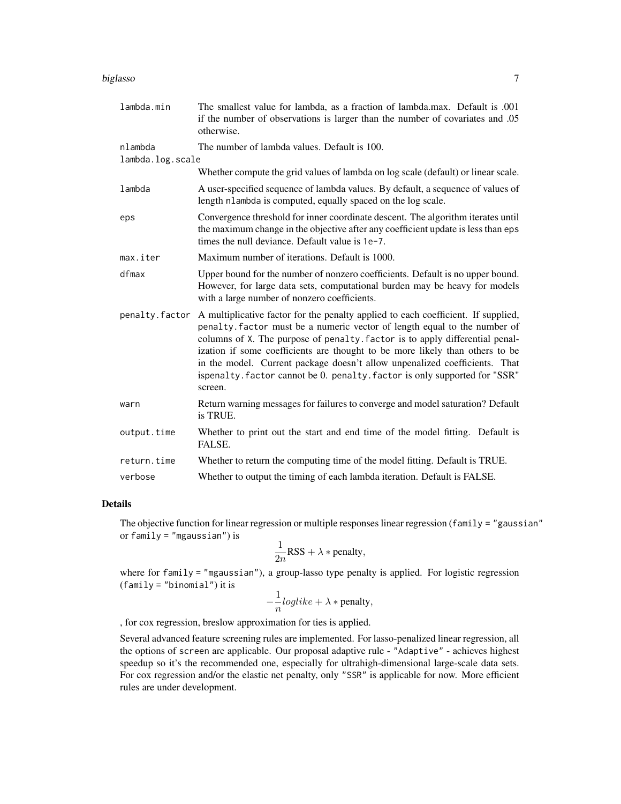#### biglasso 7

| lambda.min       | The smallest value for lambda, as a fraction of lambda.max. Default is .001<br>if the number of observations is larger than the number of covariates and .05<br>otherwise.                                                                                                                                                                                                                                                                                                                            |
|------------------|-------------------------------------------------------------------------------------------------------------------------------------------------------------------------------------------------------------------------------------------------------------------------------------------------------------------------------------------------------------------------------------------------------------------------------------------------------------------------------------------------------|
| nlambda          | The number of lambda values. Default is 100.                                                                                                                                                                                                                                                                                                                                                                                                                                                          |
| lambda.log.scale |                                                                                                                                                                                                                                                                                                                                                                                                                                                                                                       |
|                  | Whether compute the grid values of lambda on log scale (default) or linear scale.                                                                                                                                                                                                                                                                                                                                                                                                                     |
| lambda           | A user-specified sequence of lambda values. By default, a sequence of values of<br>length nlambda is computed, equally spaced on the log scale.                                                                                                                                                                                                                                                                                                                                                       |
| eps              | Convergence threshold for inner coordinate descent. The algorithm iterates until<br>the maximum change in the objective after any coefficient update is less than eps<br>times the null deviance. Default value is 1e-7.                                                                                                                                                                                                                                                                              |
| max.iter         | Maximum number of iterations. Default is 1000.                                                                                                                                                                                                                                                                                                                                                                                                                                                        |
| dfmax            | Upper bound for the number of nonzero coefficients. Default is no upper bound.<br>However, for large data sets, computational burden may be heavy for models<br>with a large number of nonzero coefficients.                                                                                                                                                                                                                                                                                          |
| penalty.factor   | A multiplicative factor for the penalty applied to each coefficient. If supplied,<br>penalty. factor must be a numeric vector of length equal to the number of<br>columns of X. The purpose of penalty. factor is to apply differential penal-<br>ization if some coefficients are thought to be more likely than others to be<br>in the model. Current package doesn't allow unpenalized coefficients. That<br>ispenalty. factor cannot be 0. penalty. factor is only supported for "SSR"<br>screen. |
| warn             | Return warning messages for failures to converge and model saturation? Default<br>is TRUE.                                                                                                                                                                                                                                                                                                                                                                                                            |
| output.time      | Whether to print out the start and end time of the model fitting. Default is<br>FALSE.                                                                                                                                                                                                                                                                                                                                                                                                                |
| return.time      | Whether to return the computing time of the model fitting. Default is TRUE.                                                                                                                                                                                                                                                                                                                                                                                                                           |
| verbose          | Whether to output the timing of each lambda iteration. Default is FALSE.                                                                                                                                                                                                                                                                                                                                                                                                                              |

## Details

The objective function for linear regression or multiple responses linear regression (family = "gaussian" or family = "mgaussian") is

$$
\frac{1}{2n}RSS + \lambda * penalty,
$$

where for family = "mgaussian"), a group-lasso type penalty is applied. For logistic regression (family = "binomial") it is

$$
-\frac{1}{n}loglike + \lambda * penalty,
$$

, for cox regression, breslow approximation for ties is applied.

Several advanced feature screening rules are implemented. For lasso-penalized linear regression, all the options of screen are applicable. Our proposal adaptive rule - "Adaptive" - achieves highest speedup so it's the recommended one, especially for ultrahigh-dimensional large-scale data sets. For cox regression and/or the elastic net penalty, only "SSR" is applicable for now. More efficient rules are under development.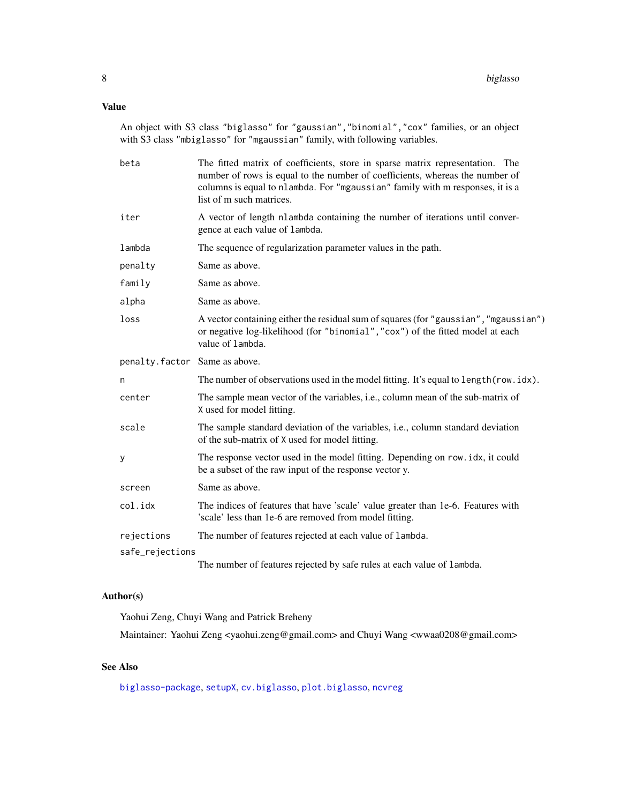## <span id="page-7-0"></span>Value

An object with S3 class "biglasso" for "gaussian","binomial","cox" families, or an object with S3 class "mbiglasso" for "mgaussian" family, with following variables.

| beta                          | The fitted matrix of coefficients, store in sparse matrix representation. The<br>number of rows is equal to the number of coefficients, whereas the number of<br>columns is equal to nlambda. For "mgaussian" family with m responses, it is a<br>list of m such matrices. |
|-------------------------------|----------------------------------------------------------------------------------------------------------------------------------------------------------------------------------------------------------------------------------------------------------------------------|
| iter                          | A vector of length nlambda containing the number of iterations until conver-<br>gence at each value of lambda.                                                                                                                                                             |
| lambda                        | The sequence of regularization parameter values in the path.                                                                                                                                                                                                               |
| penalty                       | Same as above.                                                                                                                                                                                                                                                             |
| family                        | Same as above.                                                                                                                                                                                                                                                             |
| alpha                         | Same as above.                                                                                                                                                                                                                                                             |
| loss                          | A vector containing either the residual sum of squares (for "gaussian", "mgaussian")<br>or negative log-likelihood (for "binomial", "cox") of the fitted model at each<br>value of lambda.                                                                                 |
| penalty.factor Same as above. |                                                                                                                                                                                                                                                                            |
| n                             | The number of observations used in the model fitting. It's equal to length (row.idx).                                                                                                                                                                                      |
| center                        | The sample mean vector of the variables, i.e., column mean of the sub-matrix of<br>X used for model fitting.                                                                                                                                                               |
| scale                         | The sample standard deviation of the variables, i.e., column standard deviation<br>of the sub-matrix of X used for model fitting.                                                                                                                                          |
| у                             | The response vector used in the model fitting. Depending on row. idx, it could<br>be a subset of the raw input of the response vector y.                                                                                                                                   |
| screen                        | Same as above.                                                                                                                                                                                                                                                             |
| col.idx                       | The indices of features that have 'scale' value greater than 1e-6. Features with<br>'scale' less than 1e-6 are removed from model fitting.                                                                                                                                 |
| rejections                    | The number of features rejected at each value of lambda.                                                                                                                                                                                                                   |
| safe_rejections               |                                                                                                                                                                                                                                                                            |
|                               | The number of features rejected by safe rules at each value of lambda.                                                                                                                                                                                                     |

## Author(s)

Yaohui Zeng, Chuyi Wang and Patrick Breheny

Maintainer: Yaohui Zeng <yaohui.zeng@gmail.com> and Chuyi Wang <wwaa0208@gmail.com>

## See Also

[biglasso-package](#page-1-1), [setupX](#page-18-1), [cv.biglasso](#page-10-1), [plot.biglasso](#page-12-1), [ncvreg](#page-0-0)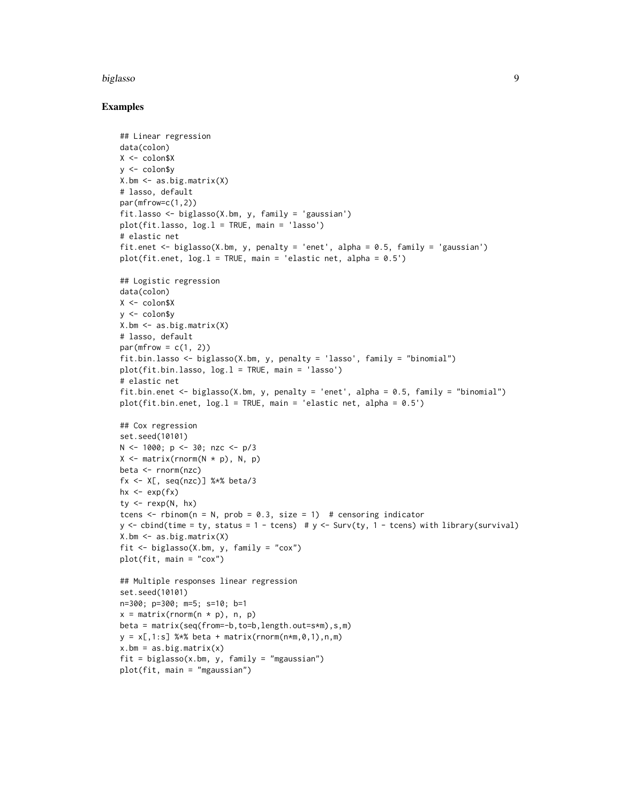#### biglasso 9

#### Examples

```
## Linear regression
data(colon)
X <- colon$X
y <- colon$y
X.bm <- as.big.matrix(X)
# lasso, default
par(mfrow=c(1,2))
fit.lasso <- biglasso(X.bm, y, family = 'gaussian')
plot(fit.lasso, log.l = TRUE, main = 'lasso')
# elastic net
fit.enet <- biglasso(X.bm, y, penalty = 'enet', alpha = 0.5, family = 'gaussian')
plot(fit.enet, log.1 = TRUE, main = 'elastic net, alpha = 0.5')## Logistic regression
data(colon)
X <- colon$X
y <- colon$y
X.bm <- as.big.matrix(X)
# lasso, default
par(mfrow = c(1, 2))fit.bin.lasso <- biglasso(X.bm, y, penalty = 'lasso', family = "binomial")
plot(fit.bin.lasso, log.l = TRUE, main = 'lasso')
# elastic net
fit.bin.enet <- biglasso(X.bm, y, penalty = 'enet', alpha = 0.5, family = "binomial")
plot(fit.bin.enet, log.1 = TRUE, main = 'elastic net, alpha = 0.5')## Cox regression
set.seed(10101)
N <- 1000; p <- 30; nzc <- p/3
X \leftarrow matrix(rnorm(N * p), N, p)beta <- rnorm(nzc)
fx <- X[, seq(nzc)] %*% beta/3
hx \leftarrow exp(fx)
ty \leftarrow rexp(N, hx)
tcens \le rbinom(n = N, prob = 0.3, size = 1) # censoring indicator
y \leftarrow \text{cbind}(\text{time} = \text{ty}, \text{ status} = 1 - \text{tcens}) # y \leftarrow \text{Surv}(\text{ty}, 1 - \text{tcens}) with library(survival)
X.bm <- as.big.matrix(X)
fit <- biglasso(X.bm, y, family = "cox")
plot(fit, main = "cox")
## Multiple responses linear regression
set.seed(10101)
n=300; p=300; m=5; s=10; b=1
x = matrix(rnorm(n * p), n, p)beta = matrix(seq(from=-b,to=b,length.out=s*m),s,m)
y = x[, 1:s] %*% beta + matrix(rnorm(n*m, 0, 1), n, m)
x.bm = as.big.mathrix(x)fit = biglasso(x.bm, y, family = "mgaussian")plot(fit, main = "mgaussian")
```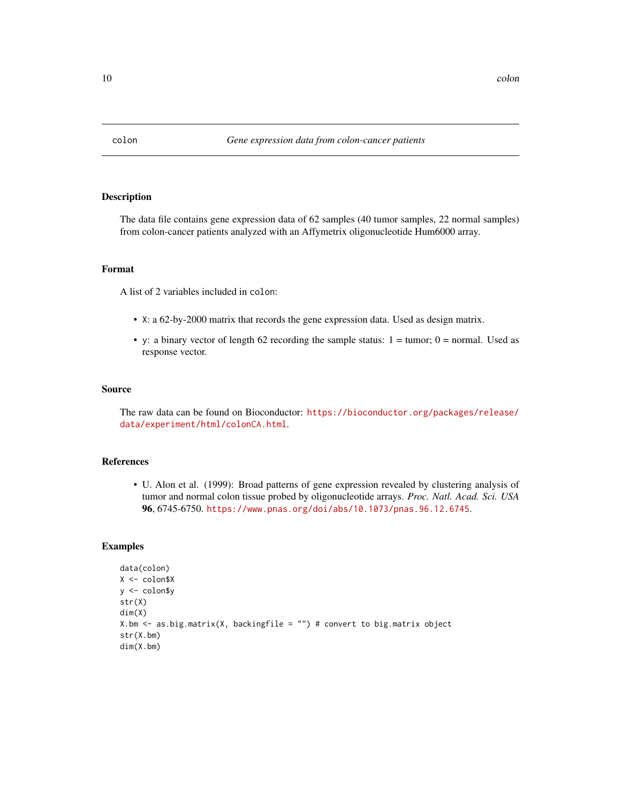<span id="page-9-0"></span>

#### Description

The data file contains gene expression data of 62 samples (40 tumor samples, 22 normal samples) from colon-cancer patients analyzed with an Affymetrix oligonucleotide Hum6000 array.

## Format

A list of 2 variables included in colon:

- X: a 62-by-2000 matrix that records the gene expression data. Used as design matrix.
- y: a binary vector of length 62 recording the sample status:  $1 = \text{tumor}$ ;  $0 = \text{normal}$ . Used as response vector.

#### Source

The raw data can be found on Bioconductor: [https://bioconductor.org/packages/release/](https://bioconductor.org/packages/release/data/experiment/html/colonCA.html) [data/experiment/html/colonCA.html](https://bioconductor.org/packages/release/data/experiment/html/colonCA.html).

#### References

• U. Alon et al. (1999): Broad patterns of gene expression revealed by clustering analysis of tumor and normal colon tissue probed by oligonucleotide arrays. *Proc. Natl. Acad. Sci. USA* 96, 6745-6750. <https://www.pnas.org/doi/abs/10.1073/pnas.96.12.6745>.

#### Examples

```
data(colon)
X <- colon$X
y <- colon$y
str(X)
dim(X)
X.bm \leq as.big.matrix(X, backingfile = "") # convert to big.matrix object
str(X.bm)
dim(X.bm)
```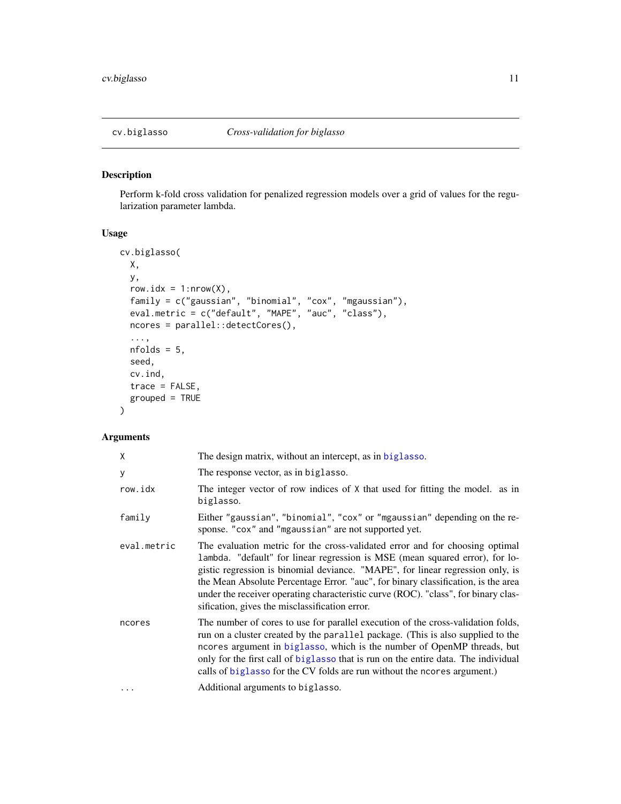## <span id="page-10-1"></span><span id="page-10-0"></span>Description

Perform k-fold cross validation for penalized regression models over a grid of values for the regularization parameter lambda.

## Usage

```
cv.biglasso(
 X,
 y,
  row.idx = 1:nrow(X),
  family = c("gaussian", "binomial", "cox", "mgaussian"),
  eval.metric = c("default", "MAPE", "auc", "class"),
 ncores = parallel::detectCores(),
  ...,
 nfolds = 5,
  seed,
 cv.ind,
  trace = FALSE,
  grouped = TRUE
\mathcal{E}
```
## Arguments

| The design matrix, without an intercept, as in biglasso.                                                                                                                                                                                                                                                                                                                                                                                                                    |
|-----------------------------------------------------------------------------------------------------------------------------------------------------------------------------------------------------------------------------------------------------------------------------------------------------------------------------------------------------------------------------------------------------------------------------------------------------------------------------|
| The response vector, as in biglasso.                                                                                                                                                                                                                                                                                                                                                                                                                                        |
| The integer vector of row indices of $X$ that used for fitting the model. as in<br>biglasso.                                                                                                                                                                                                                                                                                                                                                                                |
| Either "gaussian", "binomial", "cox" or "mgaussian" depending on the re-<br>sponse. "cox" and "mgaussian" are not supported yet.                                                                                                                                                                                                                                                                                                                                            |
| The evaluation metric for the cross-validated error and for choosing optimal<br>lambda. "default" for linear regression is MSE (mean squared error), for lo-<br>gistic regression is binomial deviance. "MAPE", for linear regression only, is<br>the Mean Absolute Percentage Error. "auc", for binary classification, is the area<br>under the receiver operating characteristic curve (ROC). "class", for binary clas-<br>sification, gives the misclassification error. |
| The number of cores to use for parallel execution of the cross-validation folds,<br>run on a cluster created by the parallel package. (This is also supplied to the<br>ncores argument in biglasso, which is the number of OpenMP threads, but<br>only for the first call of biglasso that is run on the entire data. The individual<br>calls of biglasso for the CV folds are run without the ncores argument.)                                                            |
| Additional arguments to biglasso.                                                                                                                                                                                                                                                                                                                                                                                                                                           |
|                                                                                                                                                                                                                                                                                                                                                                                                                                                                             |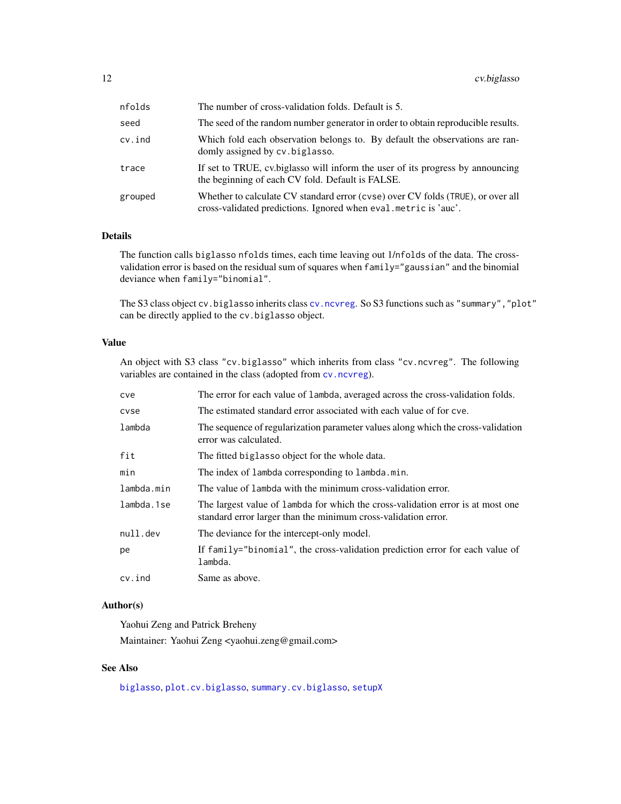<span id="page-11-0"></span>

| nfolds  | The number of cross-validation folds. Default is 5.                                                                                                |
|---------|----------------------------------------------------------------------------------------------------------------------------------------------------|
| seed    | The seed of the random number generator in order to obtain reproducible results.                                                                   |
| cv.ind  | Which fold each observation belongs to. By default the observations are ran-<br>domly assigned by cv. biglasso.                                    |
| trace   | If set to TRUE, cv. biglasso will inform the user of its progress by announcing<br>the beginning of each CV fold. Default is FALSE.                |
| grouped | Whether to calculate CV standard error (cvse) over CV folds (TRUE), or over all<br>cross-validated predictions. Ignored when eval.metric is 'auc'. |

#### Details

The function calls biglasso nfolds times, each time leaving out 1/nfolds of the data. The crossvalidation error is based on the residual sum of squares when family="gaussian" and the binomial deviance when family="binomial".

The S3 class object cv.biglasso inherits class [cv.ncvreg](#page-0-0). So S3 functions such as "summary","plot" can be directly applied to the cv.biglasso object.

#### Value

An object with S3 class "cv.biglasso" which inherits from class "cv.ncvreg". The following variables are contained in the class (adopted from [cv.ncvreg](#page-0-0)).

| cve        | The error for each value of lambda, averaged across the cross-validation folds.                                                                   |
|------------|---------------------------------------------------------------------------------------------------------------------------------------------------|
| cvse       | The estimated standard error associated with each value of for cye.                                                                               |
| lambda     | The sequence of regularization parameter values along which the cross-validation<br>error was calculated.                                         |
| fit        | The fitted biglasso object for the whole data.                                                                                                    |
| min        | The index of lambda corresponding to lambda.min.                                                                                                  |
| lambda.min | The value of lambda with the minimum cross-validation error.                                                                                      |
| lambda.1se | The largest value of lambda for which the cross-validation error is at most one<br>standard error larger than the minimum cross-validation error. |
| null.dev   | The deviance for the intercept-only model.                                                                                                        |
| pe         | If family="binomial", the cross-validation prediction error for each value of<br>lambda.                                                          |
| $cv$ . ind | Same as above.                                                                                                                                    |

#### Author(s)

Yaohui Zeng and Patrick Breheny

Maintainer: Yaohui Zeng <yaohui.zeng@gmail.com>

## See Also

[biglasso](#page-4-1), [plot.cv.biglasso](#page-13-1), [summary.cv.biglasso](#page-20-1), [setupX](#page-18-1)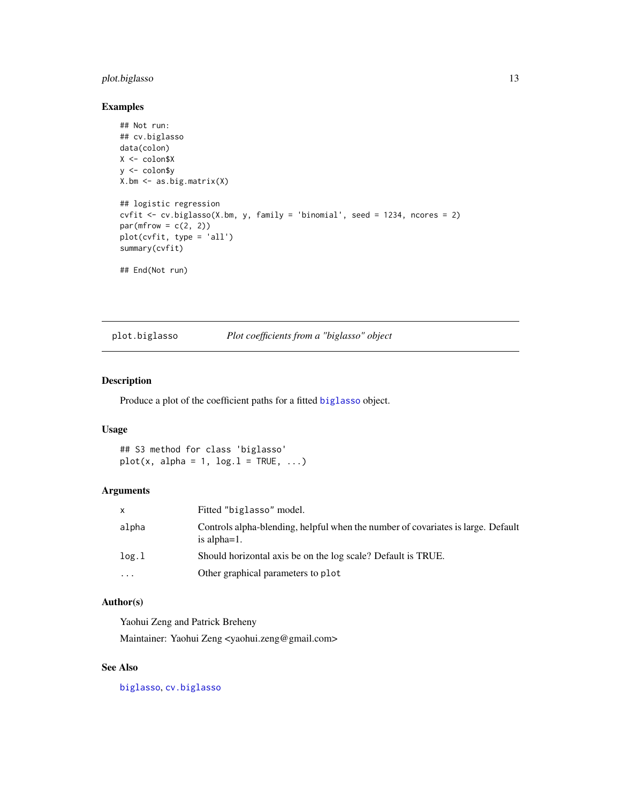## <span id="page-12-0"></span>plot.biglasso 13

#### Examples

```
## Not run:
## cv.biglasso
data(colon)
X <- colon$X
y <- colon$y
X.bm <- as.big.matrix(X)
## logistic regression
cvfit <- cv.biglasso(X.bm, y, family = 'binomial', seed = 1234, ncores = 2)
par(mfrow = c(2, 2))plot(cvfit, type = 'all')
summary(cvfit)
## End(Not run)
```
<span id="page-12-1"></span>plot.biglasso *Plot coefficients from a "biglasso" object*

#### Description

Produce a plot of the coefficient paths for a fitted [biglasso](#page-4-1) object.

## Usage

## S3 method for class 'biglasso'  $plot(x, alpha = 1, log.1 = TRUE, ...)$ 

#### Arguments

| X        | Fitted "biglasso" model.                                                                            |
|----------|-----------------------------------------------------------------------------------------------------|
| alpha    | Controls alpha-blending, helpful when the number of covariates is large. Default<br>is alpha $=1$ . |
| log.1    | Should horizontal axis be on the log scale? Default is TRUE.                                        |
| $\cdots$ | Other graphical parameters to plot                                                                  |

## Author(s)

Yaohui Zeng and Patrick Breheny

Maintainer: Yaohui Zeng <yaohui.zeng@gmail.com>

## See Also

[biglasso](#page-4-1), [cv.biglasso](#page-10-1)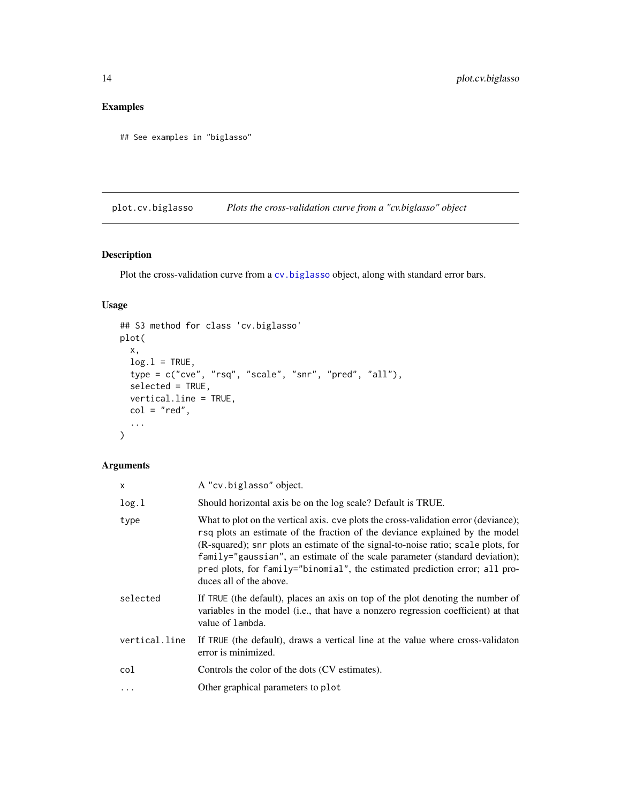## <span id="page-13-0"></span>Examples

```
## See examples in "biglasso"
```
<span id="page-13-1"></span>plot.cv.biglasso *Plots the cross-validation curve from a "cv.biglasso" object*

## Description

Plot the cross-validation curve from a [cv.biglasso](#page-10-1) object, along with standard error bars.

## Usage

```
## S3 method for class 'cv.biglasso'
plot(
 x,
 log.l = TRUE,type = c("cve", "rsq", "scale", "snr", "pred", "all"),
 selected = TRUE,
 vertical.line = TRUE,
 col = "red",...
)
```
#### Arguments

| x             | A "cv.biglasso" object.                                                                                                                                                                                                                                                                                                                                                                                                                           |
|---------------|---------------------------------------------------------------------------------------------------------------------------------------------------------------------------------------------------------------------------------------------------------------------------------------------------------------------------------------------------------------------------------------------------------------------------------------------------|
| log.1         | Should horizontal axis be on the log scale? Default is TRUE.                                                                                                                                                                                                                                                                                                                                                                                      |
| type          | What to plot on the vertical axis. cve plots the cross-validation error (deviance);<br>rsq plots an estimate of the fraction of the deviance explained by the model<br>(R-squared); snr plots an estimate of the signal-to-noise ratio; scale plots, for<br>family="gaussian", an estimate of the scale parameter (standard deviation);<br>pred plots, for family="binomial", the estimated prediction error; all pro-<br>duces all of the above. |
| selected      | If TRUE (the default), places an axis on top of the plot denoting the number of<br>variables in the model (i.e., that have a nonzero regression coefficient) at that<br>value of lambda.                                                                                                                                                                                                                                                          |
| vertical.line | If TRUE (the default), draws a vertical line at the value where cross-validation<br>error is minimized.                                                                                                                                                                                                                                                                                                                                           |
| col           | Controls the color of the dots (CV estimates).                                                                                                                                                                                                                                                                                                                                                                                                    |
| $\cdots$      | Other graphical parameters to plot                                                                                                                                                                                                                                                                                                                                                                                                                |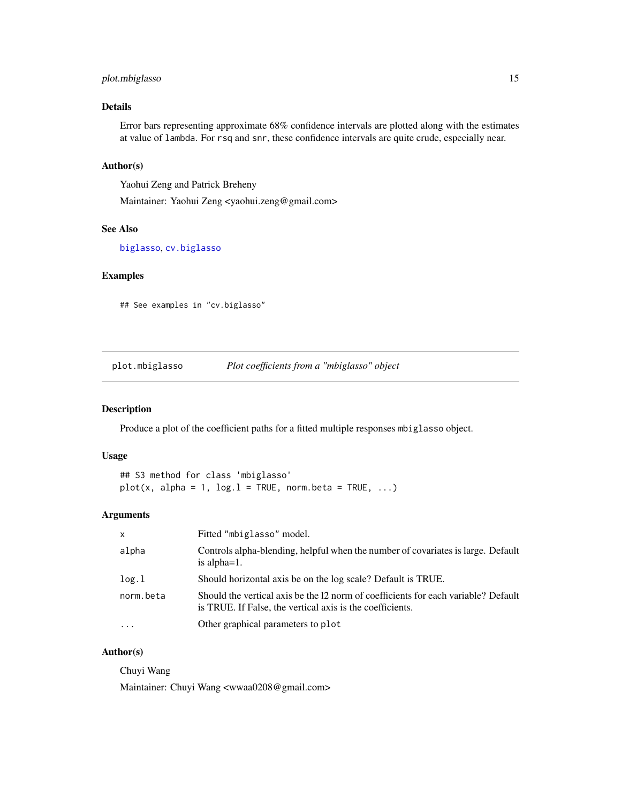## <span id="page-14-0"></span>plot.mbiglasso 15

## Details

Error bars representing approximate 68% confidence intervals are plotted along with the estimates at value of lambda. For rsq and snr, these confidence intervals are quite crude, especially near.

#### Author(s)

Yaohui Zeng and Patrick Breheny

Maintainer: Yaohui Zeng <yaohui.zeng@gmail.com>

## See Also

[biglasso](#page-4-1), [cv.biglasso](#page-10-1)

## Examples

## See examples in "cv.biglasso"

plot.mbiglasso *Plot coefficients from a "mbiglasso" object*

#### Description

Produce a plot of the coefficient paths for a fitted multiple responses mbiglasso object.

#### Usage

```
## S3 method for class 'mbiglasso'
plot(x, alpha = 1, log.1 = TRUE, norm. beta = TRUE, ...)
```
#### Arguments

| $\mathsf{x}$ | Fitted "mbiglasso" model.                                                                                                                       |
|--------------|-------------------------------------------------------------------------------------------------------------------------------------------------|
| alpha        | Controls alpha-blending, helpful when the number of covariates is large. Default<br>is alpha $=1$ .                                             |
| log.1        | Should horizontal axis be on the log scale? Default is TRUE.                                                                                    |
| norm.beta    | Should the vertical axis be the 12 norm of coefficients for each variable? Default<br>is TRUE. If False, the vertical axis is the coefficients. |
| $\cdot$      | Other graphical parameters to plot                                                                                                              |

#### Author(s)

Chuyi Wang

Maintainer: Chuyi Wang <wwaa0208@gmail.com>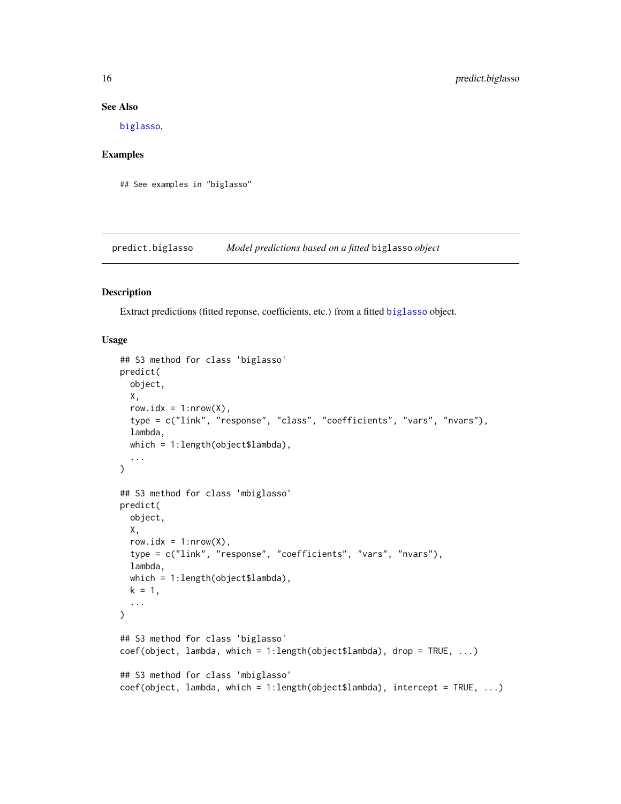#### See Also

[biglasso](#page-4-1),

## Examples

## See examples in "biglasso"

predict.biglasso *Model predictions based on a fitted* biglasso *object*

#### Description

Extract predictions (fitted reponse, coefficients, etc.) from a fitted [biglasso](#page-4-1) object.

#### Usage

```
## S3 method for class 'biglasso'
predict(
 object,
 X,
  row.idx = 1: nrow(X),
  type = c("link", "response", "class", "coefficients", "vars", "nvars"),
  lambda,
  which = 1:length(object$lambda),
  ...
\mathcal{L}## S3 method for class 'mbiglasso'
predict(
 object,
 X,
  row.idx = 1: nrow(X),
  type = c("link", "response", "coefficients", "vars", "nvars"),
  lambda,
 which = 1:length(object$lambda),
 k = 1,
  ...
\mathcal{L}## S3 method for class 'biglasso'
coef(object, lambda, which = 1:length(object$lambda), drop = TRUE, ...)
## S3 method for class 'mbiglasso'
coef(object, lambda, which = 1:length(object$lambda), intercept = TRUE, ...)
```
<span id="page-15-0"></span>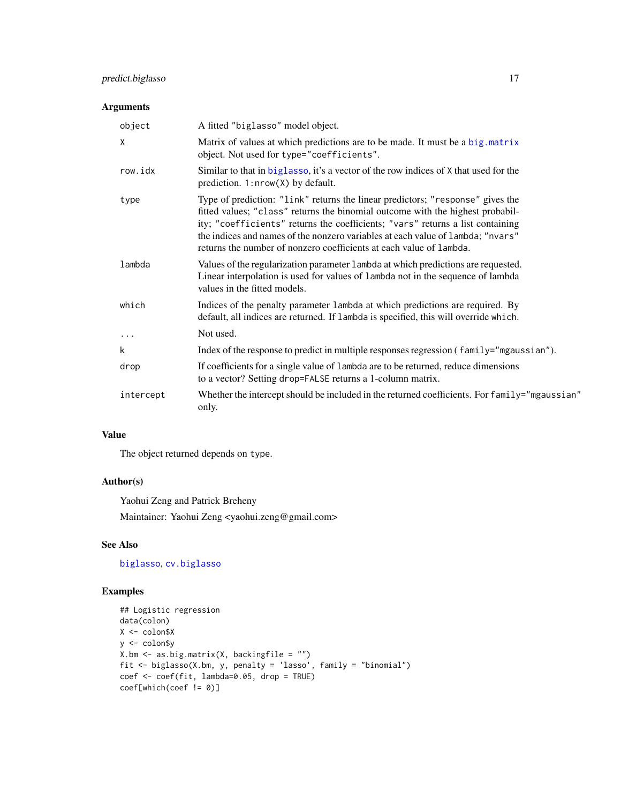## <span id="page-16-0"></span>predict.biglasso 17

## Arguments

| object    | A fitted "biglasso" model object.                                                                                                                                                                                                                                                                                                                                                                            |
|-----------|--------------------------------------------------------------------------------------------------------------------------------------------------------------------------------------------------------------------------------------------------------------------------------------------------------------------------------------------------------------------------------------------------------------|
| X         | Matrix of values at which predictions are to be made. It must be a big.matrix<br>object. Not used for type="coefficients".                                                                                                                                                                                                                                                                                   |
| row.idx   | Similar to that in biglasso, it's a vector of the row indices of X that used for the<br>prediction. 1:nrow(X) by default.                                                                                                                                                                                                                                                                                    |
| type      | Type of prediction: "link" returns the linear predictors; "response" gives the<br>fitted values; "class" returns the binomial outcome with the highest probabil-<br>ity; "coefficients" returns the coefficients; "vars" returns a list containing<br>the indices and names of the nonzero variables at each value of lambda; "nvars"<br>returns the number of nonzero coefficients at each value of lambda. |
| lambda    | Values of the regularization parameter 1 ambda at which predictions are requested.<br>Linear interpolation is used for values of lambda not in the sequence of lambda<br>values in the fitted models.                                                                                                                                                                                                        |
| which     | Indices of the penalty parameter lambda at which predictions are required. By<br>default, all indices are returned. If lambda is specified, this will override which.                                                                                                                                                                                                                                        |
| $\cdots$  | Not used.                                                                                                                                                                                                                                                                                                                                                                                                    |
| k         | Index of the response to predict in multiple responses regression (family="mgaussian").                                                                                                                                                                                                                                                                                                                      |
| drop      | If coefficients for a single value of lambda are to be returned, reduce dimensions<br>to a vector? Setting drop=FALSE returns a 1-column matrix.                                                                                                                                                                                                                                                             |
| intercept | Whether the intercept should be included in the returned coefficients. For family="mgaussian"<br>only.                                                                                                                                                                                                                                                                                                       |

#### Value

The object returned depends on type.

## Author(s)

Yaohui Zeng and Patrick Breheny Maintainer: Yaohui Zeng <yaohui.zeng@gmail.com>

## See Also

[biglasso](#page-4-1), [cv.biglasso](#page-10-1)

## Examples

```
## Logistic regression
data(colon)
X <- colon$X
y <- colon$y
X.bm <- as.big.matrix(X, backingfile = "")
fit <- biglasso(X.bm, y, penalty = 'lasso', family = "binomial")
coef <- coef(fit, lambda=0.05, drop = TRUE)
coef[which(coef != 0)]
```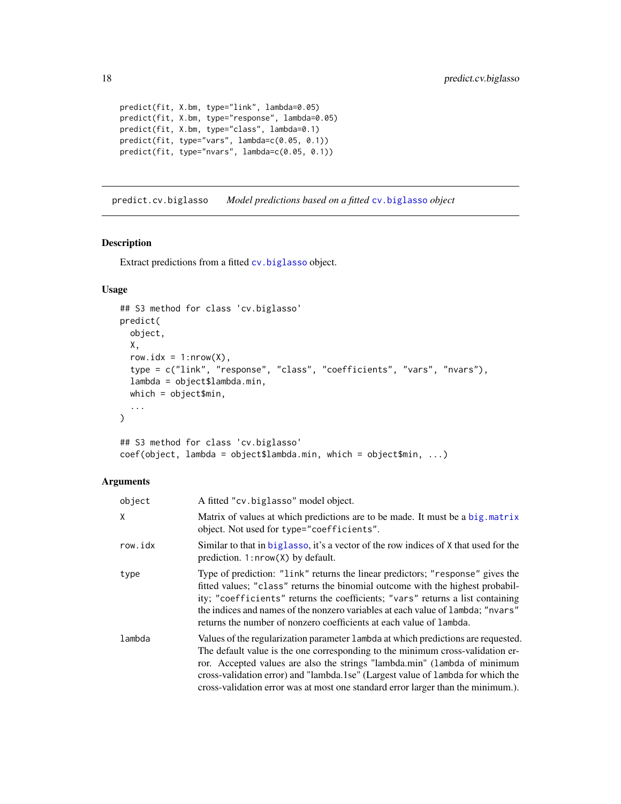```
predict(fit, X.bm, type="link", lambda=0.05)
predict(fit, X.bm, type="response", lambda=0.05)
predict(fit, X.bm, type="class", lambda=0.1)
predict(fit, type="vars", lambda=c(0.05, 0.1))
predict(fit, type="nvars", lambda=c(0.05, 0.1))
```
predict.cv.biglasso *Model predictions based on a fitted* [cv.biglasso](#page-10-1) *object*

#### Description

Extract predictions from a fitted [cv.biglasso](#page-10-1) object.

## Usage

```
## S3 method for class 'cv.biglasso'
predict(
 object,
  X,
  row.idx = 1: nrow(X),
  type = c("link", "response", "class", "coefficients", "vars", "nvars"),
  lambda = object$lambda.min,
 which = object$min,
  ...
\lambda## S3 method for class 'cv.biglasso'
```

```
coef(object, lambda = object$lambda.min, which = object$min, ...)
```
#### Arguments

| object  | A fitted "cv.biglasso" model object.                                                                                                                                                                                                                                                                                                                                                                                     |
|---------|--------------------------------------------------------------------------------------------------------------------------------------------------------------------------------------------------------------------------------------------------------------------------------------------------------------------------------------------------------------------------------------------------------------------------|
| χ       | Matrix of values at which predictions are to be made. It must be a big. matrix<br>object. Not used for type="coefficients".                                                                                                                                                                                                                                                                                              |
| row.idx | Similar to that in biglasso, it's a vector of the row indices of X that used for the<br>prediction. $1: nrow(X)$ by default.                                                                                                                                                                                                                                                                                             |
| type    | Type of prediction: "link" returns the linear predictors; "response" gives the<br>fitted values; "class" returns the binomial outcome with the highest probabil-<br>ity; "coefficients" returns the coefficients; "vars" returns a list containing<br>the indices and names of the nonzero variables at each value of lambda; "nvars"<br>returns the number of nonzero coefficients at each value of lambda.             |
| lambda  | Values of the regularization parameter 1 ambda at which predictions are requested.<br>The default value is the one corresponding to the minimum cross-validation er-<br>ror. Accepted values are also the strings "lambda.min" (lambda of minimum<br>cross-validation error) and "lambda.1se" (Largest value of lambda for which the<br>cross-validation error was at most one standard error larger than the minimum.). |

<span id="page-17-0"></span>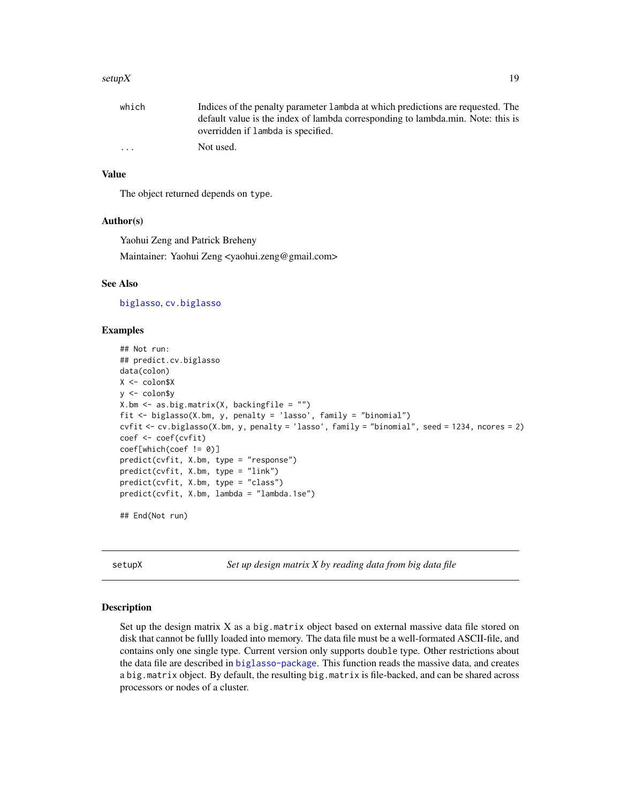#### <span id="page-18-0"></span>setup  $X$  19

| which   | Indices of the penalty parameter 1 ambda at which predictions are requested. The |
|---------|----------------------------------------------------------------------------------|
|         | default value is the index of lambda corresponding to lambda.min. Note: this is  |
|         | overridden if lambda is specified.                                               |
| $\cdot$ | Not used.                                                                        |

## Value

The object returned depends on type.

#### Author(s)

Yaohui Zeng and Patrick Breheny

Maintainer: Yaohui Zeng <yaohui.zeng@gmail.com>

## See Also

[biglasso](#page-4-1), [cv.biglasso](#page-10-1)

## Examples

```
## Not run:
## predict.cv.biglasso
data(colon)
X <- colon$X
y <- colon$y
X.bm \leftarrow as.big_matrix(X, backingfile = "")fit <- biglasso(X.bm, y, penalty = 'lasso', family = "binomial")
cvfit <- cv.biglasso(X.bm, y, penalty = 'lasso', family = "binomial", seed = 1234, ncores = 2)
coef <- coef(cvfit)
coef[which(coef != 0)]
predict(cvfit, X.bm, type = "response")
predict(cvfit, X.bm, type = "link")
predict(cvfit, X.bm, type = "class")
predict(cvfit, X.bm, lambda = "lambda.1se")
## End(Not run)
```
<span id="page-18-1"></span>setupX *Set up design matrix X by reading data from big data file*

#### Description

Set up the design matrix  $X$  as a big.matrix object based on external massive data file stored on disk that cannot be fullly loaded into memory. The data file must be a well-formated ASCII-file, and contains only one single type. Current version only supports double type. Other restrictions about the data file are described in [biglasso-package](#page-1-1). This function reads the massive data, and creates a big.matrix object. By default, the resulting big.matrix is file-backed, and can be shared across processors or nodes of a cluster.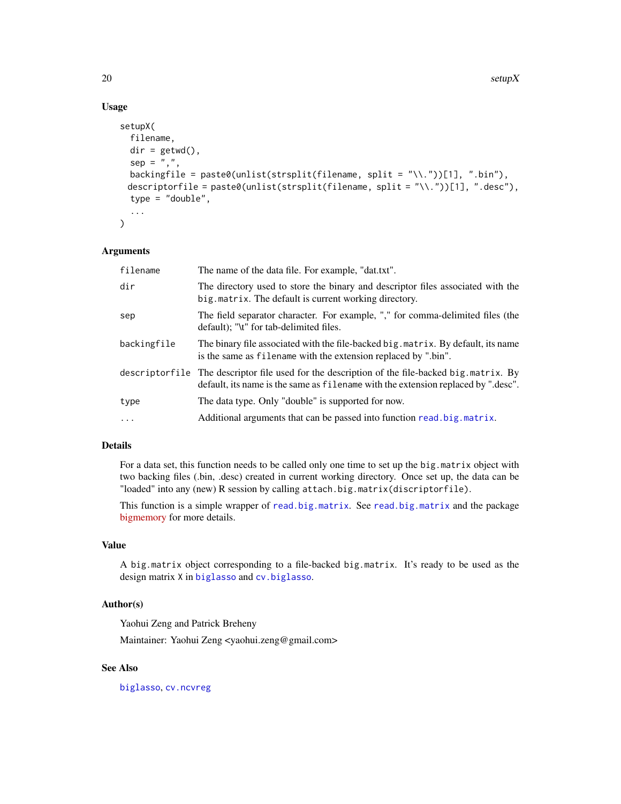20 setup $X$ 

## Usage

```
setupX(
  filename,
  dir = getwd(),
  sep = ","backingfile = paste0(unlist(strsplit(filename, split = "\\."))[1], ".bin"),
 descriptorfile = paste0(unlist(strsplit(filename, split = "\\."))[1], ".desc"),
  type = "double",
  ...
\mathcal{L}
```
## Arguments

| filename    | The name of the data file. For example, "dat.txt".                                                                                                                                 |
|-------------|------------------------------------------------------------------------------------------------------------------------------------------------------------------------------------|
| dir         | The directory used to store the binary and descriptor files associated with the<br>big matrix. The default is current working directory.                                           |
| sep         | The field separator character. For example, "," for comma-delimited files (the<br>default); "\t" for tab-delimited files.                                                          |
| backingfile | The binary file associated with the file-backed big. matrix. By default, its name<br>is the same as filename with the extension replaced by ".bin".                                |
|             | descriptorfile The descriptor file used for the description of the file-backed big matrix. By<br>default, its name is the same as filename with the extension replaced by ".desc". |
| type        | The data type. Only "double" is supported for now.                                                                                                                                 |
| $\ddots$    | Additional arguments that can be passed into function read. big. matrix.                                                                                                           |

#### Details

For a data set, this function needs to be called only one time to set up the big.matrix object with two backing files (.bin, .desc) created in current working directory. Once set up, the data can be "loaded" into any (new) R session by calling attach.big.matrix(discriptorfile).

This function is a simple wrapper of [read.big.matrix](#page-0-0). See [read.big.matrix](#page-0-0) and the package [bigmemory](https://CRAN.R-project.org/package=bigmemory) for more details.

## Value

A big.matrix object corresponding to a file-backed big.matrix. It's ready to be used as the design matrix X in [biglasso](#page-4-1) and [cv.biglasso](#page-10-1).

## Author(s)

Yaohui Zeng and Patrick Breheny

Maintainer: Yaohui Zeng <yaohui.zeng@gmail.com>

## See Also

[biglasso](#page-4-1), [cv.ncvreg](#page-0-0)

<span id="page-19-0"></span>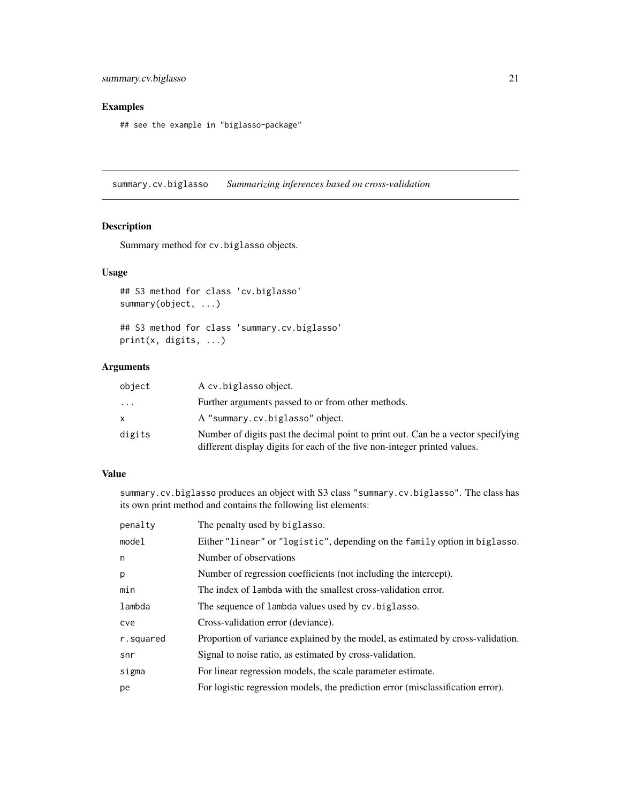## <span id="page-20-0"></span>Examples

## see the example in "biglasso-package"

<span id="page-20-1"></span>summary.cv.biglasso *Summarizing inferences based on cross-validation*

## Description

Summary method for cv.biglasso objects.

#### Usage

## S3 method for class 'cv.biglasso' summary(object, ...)

## S3 method for class 'summary.cv.biglasso' print(x, digits, ...)

#### Arguments

| object | A cv. biglasso object.                                                                                                                                        |
|--------|---------------------------------------------------------------------------------------------------------------------------------------------------------------|
| .      | Further arguments passed to or from other methods.                                                                                                            |
| x.     | A "summary.cv.biglasso" object.                                                                                                                               |
| digits | Number of digits past the decimal point to print out. Can be a vector specifying<br>different display digits for each of the five non-integer printed values. |

#### Value

summary.cv.biglasso produces an object with S3 class "summary.cv.biglasso". The class has its own print method and contains the following list elements:

| penalty   | The penalty used by biglasso.                                                    |
|-----------|----------------------------------------------------------------------------------|
| model     | Either "linear" or "logistic", depending on the family option in biglasso.       |
| n         | Number of observations                                                           |
| p         | Number of regression coefficients (not including the intercept).                 |
| min       | The index of lambda with the smallest cross-validation error.                    |
| lambda    | The sequence of lambda values used by cv. biglasso.                              |
| cve       | Cross-validation error (deviance).                                               |
| r.squared | Proportion of variance explained by the model, as estimated by cross-validation. |
| snr       | Signal to noise ratio, as estimated by cross-validation.                         |
| sigma     | For linear regression models, the scale parameter estimate.                      |
| pe        | For logistic regression models, the prediction error (misclassification error).  |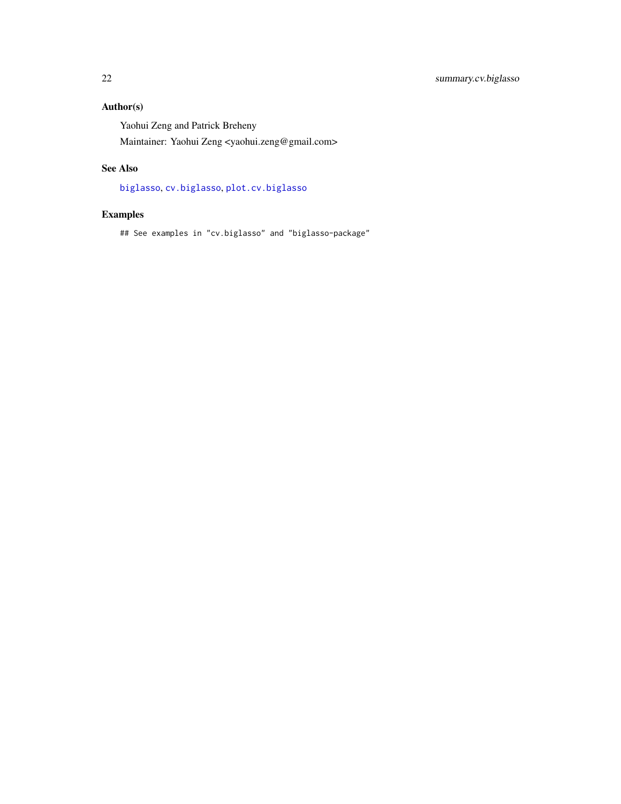## <span id="page-21-0"></span>Author(s)

Yaohui Zeng and Patrick Breheny

Maintainer: Yaohui Zeng <yaohui.zeng@gmail.com>

## See Also

[biglasso](#page-4-1), [cv.biglasso](#page-10-1), [plot.cv.biglasso](#page-13-1)

## Examples

## See examples in "cv.biglasso" and "biglasso-package"